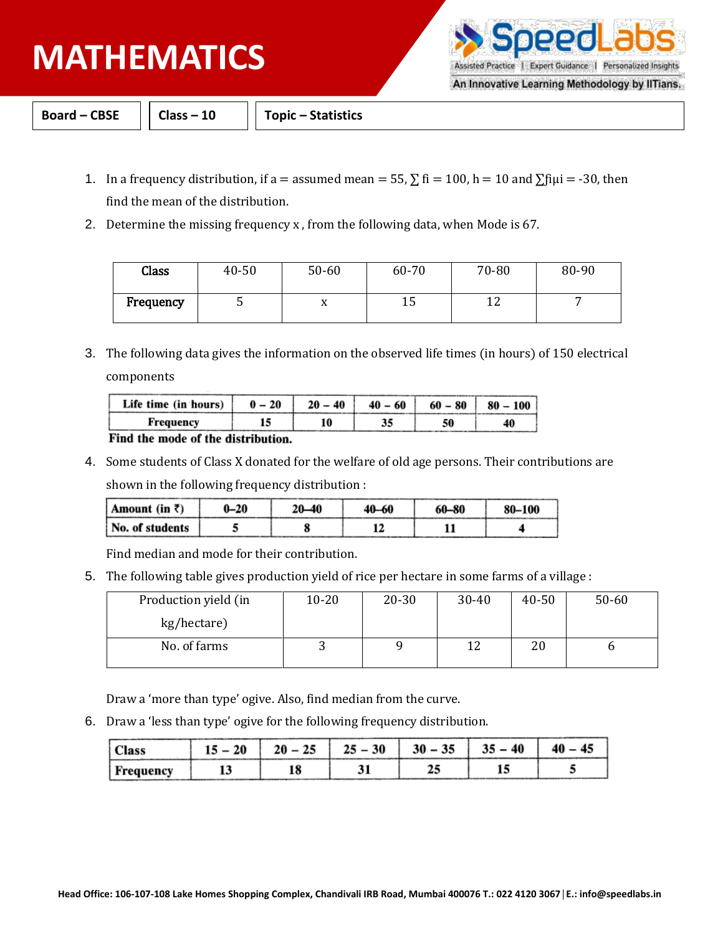## **PHYSICS MATHEMATICS**

Assisted Practice | Expert Guidance | Personalized Insights

An Innovative Learning Methodology by IITians.

**Board – CBSE Class – 10 Topic – Statistics**

- 1. In a frequency distribution, if a = assumed mean = 55,  $\Sigma$  fi = 100, h = 10 and  $\Sigma$ fiµi = -30, then find the mean of the distribution.
- 2. Determine the missing frequency x , from the following data, when Mode is 67.

| Class     | 40-50 | $50 - 60$ | 60-70 | 70-80 | 80-90 |
|-----------|-------|-----------|-------|-------|-------|
| Frequency |       | ∡⊾        | ⊥ປ    | ∸∸    |       |

3. The following data gives the information on the observed life times (in hours) of 150 electrical components

| Life time (in hours) | $-20$<br>0 | 40 | $40 - 60$ | $60 - 80$ | $80 -$<br>100 |
|----------------------|------------|----|-----------|-----------|---------------|
| Frequency            |            |    |           | 50        |               |

Find the mode of the distribution.

4. Some students of Class X donated for the welfare of old age persons. Their contributions are

shown in the following frequency distribution :

| Amount (in $\bar{z}$ ) | $0 - 20$ | 20—40 | 40–60 | 60-80 | 80-100 |  |
|------------------------|----------|-------|-------|-------|--------|--|
| No. of students        |          |       |       |       |        |  |

Find median and mode for their contribution.

5. The following table gives production yield of rice per hectare in some farms of a village :

| Production yield (in | $10 - 20$ | $20 - 30$ | $30 - 40$ | 40-50 | $50 - 60$ |
|----------------------|-----------|-----------|-----------|-------|-----------|
| kg/hectare)          |           |           |           |       |           |
| No. of farms         |           |           | 1 ว       | 20    |           |

Draw a 'more than type' ogive. Also, find median from the curve.

6. Draw a 'less than type' ogive for the following frequency distribution.

|             |  | 30 |  |  |
|-------------|--|----|--|--|
| , Frequency |  |    |  |  |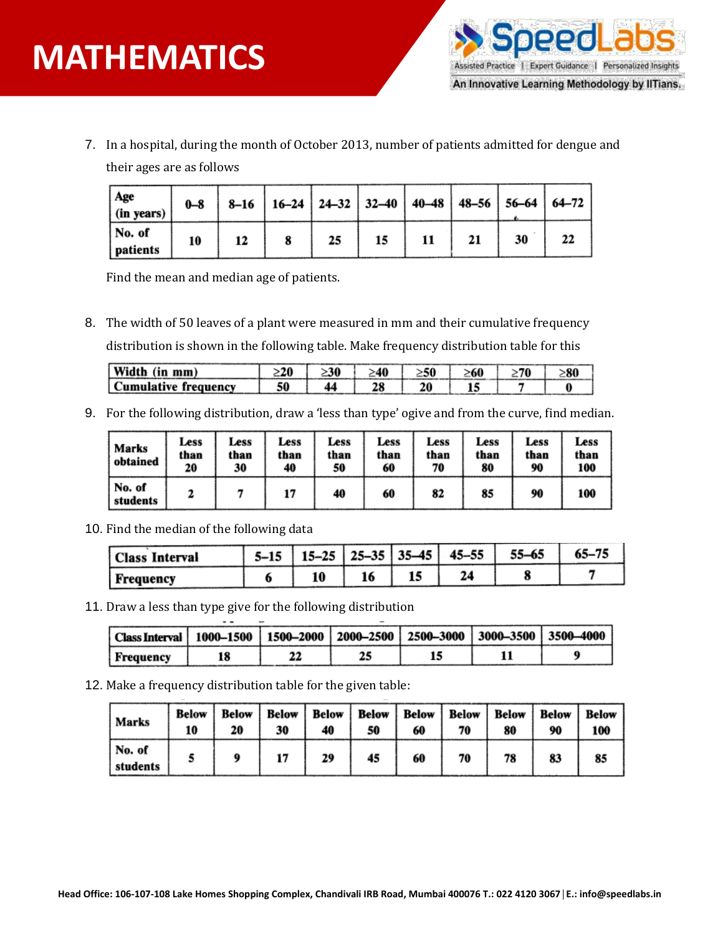

7. In a hospital, during the month of October 2013, number of patients admitted for dengue and their ages are as follows

| Age<br>$\int$ (in years)                | $0 - 8$ |  |    | 8-16   16-24   24-32   32-40   40-48   48-56   56-64   64-72 |    |    |    |  |
|-----------------------------------------|---------|--|----|--------------------------------------------------------------|----|----|----|--|
| $\sqrt{\phantom{a}}$ No. of<br>patients | 10      |  | 25 | 15                                                           | 11 | 21 | 30 |  |

Find the mean and median age of patients.

8. The width of 50 leaves of a plant were measured in mm and their cumulative frequency distribution is shown in the following table. Make frequency distribution table for this

| Width (in mm)        | 20 | -30 | -40 | -60 | 70 |  |
|----------------------|----|-----|-----|-----|----|--|
| Cumulative frequency | 50 |     |     |     |    |  |

9. For the following distribution, draw a 'less than type' ogive and from the curve, find median.

| Marks<br>obtained  | Less<br>than<br>20 | Less<br>than<br>30 | Less<br>than<br>40 | Less<br>than<br>50 | Less<br>than<br>60 | Less<br>than<br>70 | Less<br>than<br>80 | Less<br>than<br>90 | Less<br>than<br>100 |
|--------------------|--------------------|--------------------|--------------------|--------------------|--------------------|--------------------|--------------------|--------------------|---------------------|
| No. of<br>students |                    |                    |                    | 40                 | 60                 | 82                 | 85                 | 90                 | 100                 |

10. Find the median of the following data

| Class Interval | $15 - 25$ | $ 25 - 35 35 - 45 $ | $45 - 55$ | 55-65 |  |
|----------------|-----------|---------------------|-----------|-------|--|
| Frequency      |           | 13                  | 24        |       |  |

11. Draw a less than type give for the following distribution

 $\sim$   $\sim$ 

| Class Interval   1000-1500   1500-2000   2000-2500   2500-3000   3000-3500   3500-4000 |  |  |  |
|----------------------------------------------------------------------------------------|--|--|--|
| Frequency                                                                              |  |  |  |

12. Make a frequency distribution table for the given table:

| Marks              | Below<br>10 | Below<br>20 | 30 | 40 | 50 | 60 | 70 | Below   Below   Below   Below   Below   Below   Below<br>80 | 90 | Below<br>100 |
|--------------------|-------------|-------------|----|----|----|----|----|-------------------------------------------------------------|----|--------------|
| No. of<br>students |             |             |    | 29 | 45 | 60 | 70 | 78                                                          | 83 | 85           |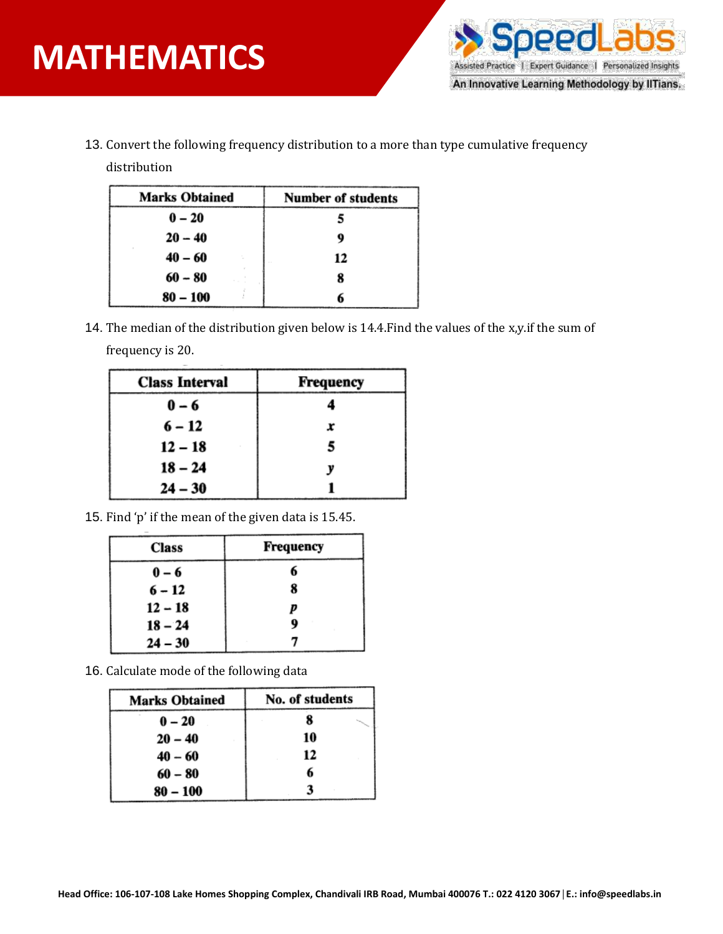

13. Convert the following frequency distribution to a more than type cumulative frequency

distribution

| <b>Marks Obtained</b> | <b>Number of students</b> |
|-----------------------|---------------------------|
| $0 - 20$              |                           |
| $20 - 40$             | Q                         |
| $40 - 60$             | 12                        |
| $60 - 80$             | 8                         |
| $80 - 100$            |                           |

14. The median of the distribution given below is 14.4.Find the values of the x,y.if the sum of frequency is 20.

| <b>Class Interval</b> | Frequency |
|-----------------------|-----------|
| $0 - 6$               |           |
| $6 - 12$              | x         |
| $12 - 18$             | 5         |
| $18 - 24$             | v         |
| $24 - 30$             |           |

15. Find 'p' if the mean of the given data is 15.45.

| <b>Class</b> | Frequency |
|--------------|-----------|
| $0 - 6$      |           |
| $6 - 12$     | x         |
| $12 - 18$    | p         |
| $18 - 24$    |           |
| $24 - 30$    |           |

16. Calculate mode of the following data

| <b>Marks Obtained</b> | No. of students |
|-----------------------|-----------------|
| $0 - 20$              | x               |
| $20 - 40$             | 10              |
| $40 - 60$             | 12              |
| $60 - 80$             | 6               |
| $80 - 100$            |                 |